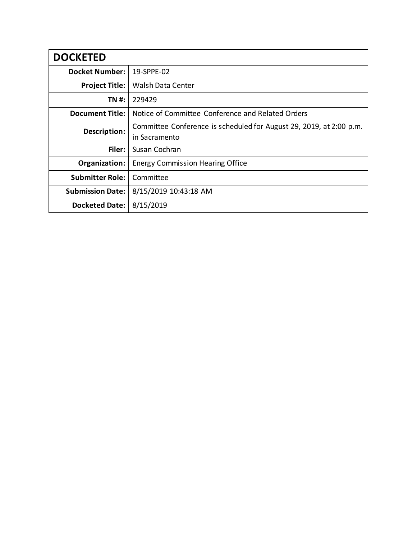| <b>DOCKETED</b>         |                                                                     |
|-------------------------|---------------------------------------------------------------------|
| <b>Docket Number:</b>   | 19-SPPE-02                                                          |
| <b>Project Title:</b>   | <b>Walsh Data Center</b>                                            |
| TN #:                   | 229429                                                              |
| <b>Document Title:</b>  | Notice of Committee Conference and Related Orders                   |
| Description:            | Committee Conference is scheduled for August 29, 2019, at 2:00 p.m. |
|                         | in Sacramento                                                       |
| Filer:                  | Susan Cochran                                                       |
| Organization:           | <b>Energy Commission Hearing Office</b>                             |
| <b>Submitter Role:</b>  | Committee                                                           |
| <b>Submission Date:</b> | 8/15/2019 10:43:18 AM                                               |
| <b>Docketed Date:</b>   | 8/15/2019                                                           |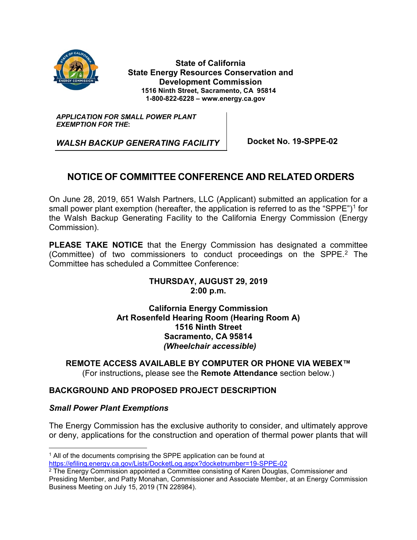

**State of California State Energy Resources Conservation and Development Commission 1516 Ninth Street, Sacramento, CA 95814 1-800-822-6228 – www.energy.ca.gov**

*APPLICATION FOR SMALL POWER PLANT EXEMPTION FOR THE***:**

*WALSH BACKUP GENERATING FACILITY* Docket No. 19-SPPE-02

# **NOTICE OF COMMITTEE CONFERENCE AND RELATED ORDERS**

On June 28, 2019, 651 Walsh Partners, LLC (Applicant) submitted an application for a small power plant exemption (hereafter, the application is referred to as the "SPPE")<sup>[1](#page--1-0)</sup> for the Walsh Backup Generating Facility to the California Energy Commission (Energy Commission).

**PLEASE TAKE NOTICE** that the Energy Commission has designated a committee (Committee) of two commissioners to conduct proceedings on the SPPE. [2](#page--1-1) The Committee has scheduled a Committee Conference:

# **THURSDAY, AUGUST 29, 2019 2:00 p.m.**

**California Energy Commission Art Rosenfeld Hearing Room (Hearing Room A) 1516 Ninth Street Sacramento, CA 95814** *(Wheelchair accessible)*

**REMOTE ACCESS AVAILABLE BY COMPUTER OR PHONE VIA WEBEX™** (For instructions**,** please see the **Remote Attendance** section below.)

# **BACKGROUND AND PROPOSED PROJECT DESCRIPTION**

#### *Small Power Plant Exemptions*

The Energy Commission has the exclusive authority to consider, and ultimately approve or deny, applications for the construction and operation of thermal power plants that will

<sup>&</sup>lt;sup>1</sup> All of the documents comprising the SPPE application can be found at <https://efiling.energy.ca.gov/Lists/DocketLog.aspx?docketnumber=19-SPPE-02>

 $2$  The Energy Commission appointed a Committee consisting of Karen Douglas, Commissioner and Presiding Member, and Patty Monahan, Commissioner and Associate Member, at an Energy Commission Business Meeting on July 15, 2019 (TN 228984).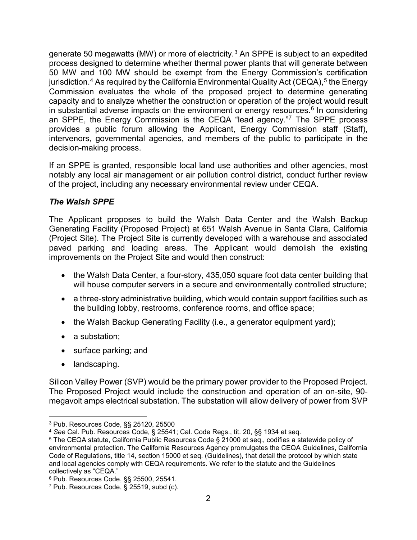generate 50 megawatts (MW) or more of electricity.<sup>[3](#page--1-2)</sup> An SPPE is subject to an expedited process designed to determine whether thermal power plants that will generate between 50 MW and 100 MW should be exempt from the Energy Commission's certification jurisdiction.<sup>[4](#page--1-3)</sup> As required by the California Environmental Quality Act (CEQA),<sup>[5](#page--1-4)</sup> the Energy Commission evaluates the whole of the proposed project to determine generating capacity and to analyze whether the construction or operation of the project would result in substantial adverse impacts on the environment or energy resources. $^6$  $^6$  In considering an SPPE, the Energy Commission is the CEQA "lead agency."[7](#page--1-6) The SPPE process provides a public forum allowing the Applicant, Energy Commission staff (Staff), intervenors, governmental agencies, and members of the public to participate in the decision-making process.

If an SPPE is granted, responsible local land use authorities and other agencies, most notably any local air management or air pollution control district, conduct further review of the project, including any necessary environmental review under CEQA.

# *The Walsh SPPE*

The Applicant proposes to build the Walsh Data Center and the Walsh Backup Generating Facility (Proposed Project) at 651 Walsh Avenue in Santa Clara, California (Project Site). The Project Site is currently developed with a warehouse and associated paved parking and loading areas. The Applicant would demolish the existing improvements on the Project Site and would then construct:

- the Walsh Data Center, a four-story, 435,050 square foot data center building that will house computer servers in a secure and environmentally controlled structure;
- a three-story administrative building, which would contain support facilities such as the building lobby, restrooms, conference rooms, and office space;
- the Walsh Backup Generating Facility (i.e., a generator equipment yard);
- a substation;
- surface parking; and
- landscaping.

Silicon Valley Power (SVP) would be the primary power provider to the Proposed Project. The Proposed Project would include the construction and operation of an on-site, 90 megavolt amps electrical substation. The substation will allow delivery of power from SVP

 <sup>3</sup> Pub. Resources Code, §§ 25120, 25500

<sup>4</sup> *See* Cal. Pub. Resources Code, § 25541; Cal. Code Regs., tit. 20, §§ 1934 et seq.

<sup>5</sup> The CEQA statute, California Public Resources Code § 21000 et seq., codifies a statewide policy of environmental protection. The California Resources Agency promulgates the CEQA Guidelines, California Code of Regulations, title 14, section 15000 et seq. (Guidelines), that detail the protocol by which state and local agencies comply with CEQA requirements. We refer to the statute and the Guidelines collectively as "CEQA."

<sup>6</sup> Pub. Resources Code, §§ 25500, 25541.

<sup>7</sup> Pub. Resources Code, § 25519, subd (c).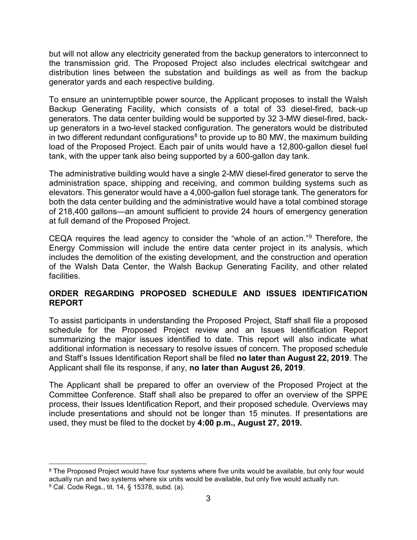but will not allow any electricity generated from the backup generators to interconnect to the transmission grid. The Proposed Project also includes electrical switchgear and distribution lines between the substation and buildings as well as from the backup generator yards and each respective building.

To ensure an uninterruptible power source, the Applicant proposes to install the Walsh Backup Generating Facility, which consists of a total of 33 diesel-fired, back-up generators. The data center building would be supported by 32 3-MW diesel-fired, backup generators in a two-level stacked configuration. The generators would be distributed in two different redundant configurations<sup>[8](#page--1-1)</sup> to provide up to 80 MW, the maximum building load of the Proposed Project. Each pair of units would have a 12,800-gallon diesel fuel tank, with the upper tank also being supported by a 600-gallon day tank.

The administrative building would have a single 2-MW diesel-fired generator to serve the administration space, shipping and receiving, and common building systems such as elevators. This generator would have a 4,000-gallon fuel storage tank. The generators for both the data center building and the administrative would have a total combined storage of 218,400 gallons—an amount sufficient to provide 24 hours of emergency generation at full demand of the Proposed Project.

CEQA requires the lead agency to consider the "whole of an action."[9](#page--1-6) Therefore, the Energy Commission will include the entire data center project in its analysis, which includes the demolition of the existing development, and the construction and operation of the Walsh Data Center, the Walsh Backup Generating Facility, and other related facilities.

# **ORDER REGARDING PROPOSED SCHEDULE AND ISSUES IDENTIFICATION REPORT**

To assist participants in understanding the Proposed Project, Staff shall file a proposed schedule for the Proposed Project review and an Issues Identification Report summarizing the major issues identified to date. This report will also indicate what additional information is necessary to resolve issues of concern. The proposed schedule and Staff's Issues Identification Report shall be filed **no later than August 22, 2019**. The Applicant shall file its response, if any, **no later than August 26, 2019**.

The Applicant shall be prepared to offer an overview of the Proposed Project at the Committee Conference. Staff shall also be prepared to offer an overview of the SPPE process, their Issues Identification Report, and their proposed schedule. Overviews may include presentations and should not be longer than 15 minutes. If presentations are used, they must be filed to the docket by **4:00 p.m., August 27, 2019.** 

<sup>&</sup>lt;sup>8</sup> The Proposed Project would have four systems where five units would be available, but only four would actually run and two systems where six units would be available, but only five would actually run. <sup>9</sup> Cal. Code Regs., tit. 14, § 15378, subd. (a).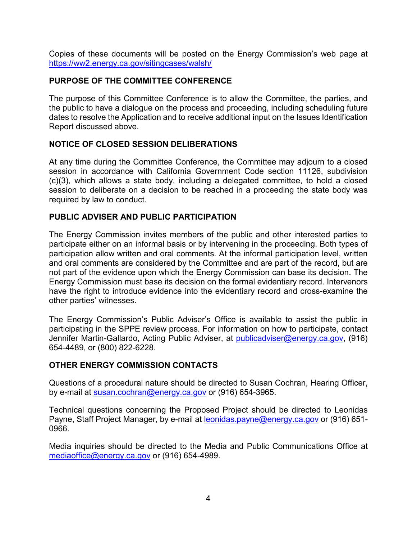Copies of these documents will be posted on the Energy Commission's web page at <https://ww2.energy.ca.gov/sitingcases/walsh/>

# **PURPOSE OF THE COMMITTEE CONFERENCE**

The purpose of this Committee Conference is to allow the Committee, the parties, and the public to have a dialogue on the process and proceeding, including scheduling future dates to resolve the Application and to receive additional input on the Issues Identification Report discussed above.

# **NOTICE OF CLOSED SESSION DELIBERATIONS**

At any time during the Committee Conference, the Committee may adjourn to a closed session in accordance with California Government Code section 11126, subdivision (c)(3), which allows a state body, including a delegated committee, to hold a closed session to deliberate on a decision to be reached in a proceeding the state body was required by law to conduct.

# **PUBLIC ADVISER AND PUBLIC PARTICIPATION**

The Energy Commission invites members of the public and other interested parties to participate either on an informal basis or by intervening in the proceeding. Both types of participation allow written and oral comments. At the informal participation level, written and oral comments are considered by the Committee and are part of the record, but are not part of the evidence upon which the Energy Commission can base its decision. The Energy Commission must base its decision on the formal evidentiary record. Intervenors have the right to introduce evidence into the evidentiary record and cross-examine the other parties' witnesses.

The Energy Commission's Public Adviser's Office is available to assist the public in participating in the SPPE review process. For information on how to participate, contact Jennifer Martin-Gallardo, Acting Public Adviser, at [publicadviser@energy.ca.gov,](mailto:publicadviser@energy.ca.gov) (916) 654-4489, or (800) 822-6228.

#### **OTHER ENERGY COMMISSION CONTACTS**

Questions of a procedural nature should be directed to Susan Cochran, Hearing Officer, by e-mail at [susan.cochran@energy.ca.gov](mailto:susan.cochran@energy.ca.gov) or (916) 654-3965.

Technical questions concerning the Proposed Project should be directed to Leonidas Payne, Staff Project Manager, by e-mail at [leonidas.payne@energy.ca.gov](mailto:leonidas.payne@energy.ca.gov) or (916) 651-0966.

Media inquiries should be directed to the Media and Public Communications Office at [mediaoffice@energy.ca.gov](mailto:mediaoffice@energy.ca.gov) or (916) 654-4989.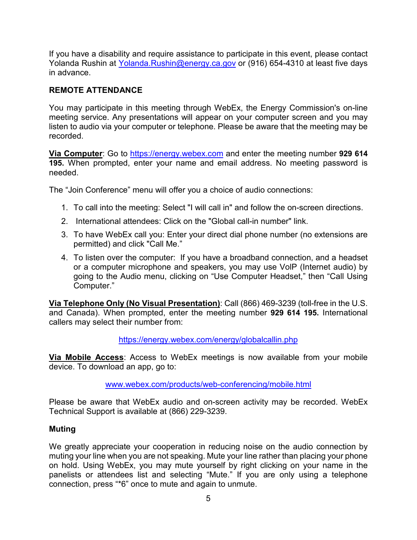If you have a disability and require assistance to participate in this event, please contact Yolanda Rushin at [Yolanda.Rushin@energy.ca.gov](mailto:Yolanda.Rushin@energy.ca.gov) or (916) 654-4310 at least five days in advance.

# **REMOTE ATTENDANCE**

You may participate in this meeting through WebEx, the Energy Commission's on-line meeting service. Any presentations will appear on your computer screen and you may listen to audio via your computer or telephone. Please be aware that the meeting may be recorded.

**Via Computer**: Go to [https://energy.webex.com](https://energy.webex.com/) and enter the meeting number **929 614 195.** When prompted, enter your name and email address. No meeting password is needed.

The "Join Conference" menu will offer you a choice of audio connections:

- 1. To call into the meeting: Select "I will call in" and follow the on-screen directions.
- 2. International attendees: Click on the "Global call-in number" link.
- 3. To have WebEx call you: Enter your direct dial phone number (no extensions are permitted) and click "Call Me."
- 4. To listen over the computer: If you have a broadband connection, and a headset or a computer microphone and speakers, you may use VolP (Internet audio) by going to the Audio menu, clicking on "Use Computer Headset," then "Call Using Computer."

**Via Telephone Only (No Visual Presentation)**: Call (866) 469-3239 (toll-free in the U.S. and Canada). When prompted, enter the meeting number **929 614 195.** International callers may select their number from:

#### <https://energy.webex.com/energy/globalcallin.php>

**Via Mobile Access**: Access to WebEx meetings is now available from your mobile device. To download an app, go to:

#### [www.webex.com/products/web-conferencing/mobile.html](http://www.webex.com/products/web-conferencing/mobile.html)

Please be aware that WebEx audio and on-screen activity may be recorded. WebEx Technical Support is available at (866) 229-3239.

#### **Muting**

We greatly appreciate your cooperation in reducing noise on the audio connection by muting your line when you are not speaking. Mute your line rather than placing your phone on hold. Using WebEx, you may mute yourself by right clicking on your name in the panelists or attendees list and selecting "Mute." If you are only using a telephone connection, press "\*6" once to mute and again to unmute.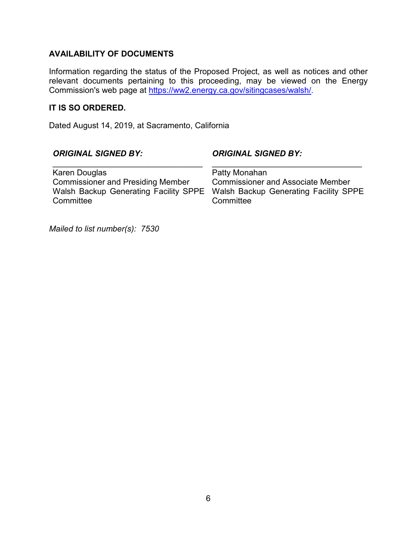# **AVAILABILITY OF DOCUMENTS**

Information regarding the status of the Proposed Project, as well as notices and other relevant documents pertaining to this proceeding, may be viewed on the Energy Commission's web page at [https://ww2.energy.ca.gov/sitingcases/walsh/.](https://ww2.energy.ca.gov/sitingcases/walsh/)

#### **IT IS SO ORDERED.**

Dated August 14, 2019, at Sacramento, California

#### *ORIGINAL SIGNED BY:*

#### *ORIGINAL SIGNED BY:*

Karen Douglas Commissioner and Presiding Member Walsh Backup Generating Facility SPPE **Committee** 

\_\_\_\_\_\_\_\_\_\_\_\_\_\_\_\_\_\_\_\_\_\_\_\_\_\_\_\_\_\_\_\_\_

\_\_\_\_\_\_\_\_\_\_\_\_\_\_\_\_\_\_\_\_\_\_\_\_\_\_\_\_\_\_\_\_\_ Patty Monahan Commissioner and Associate Member Walsh Backup Generating Facility SPPE **Committee** 

*Mailed to list number(s): 7530*